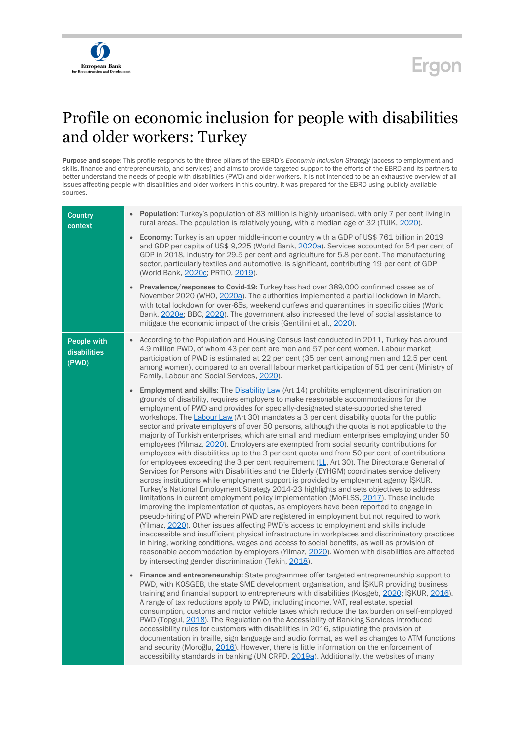

## Ergon

## Profile on economic inclusion for people with disabilities and older workers: Turkey

Purpose and scope: This profile responds to the three pillars of the EBRD's *Economic Inclusion Strategy* (access to employment and skills, finance and entrepreneurship, and services) and aims to provide targeted support to the efforts of the EBRD and its partners to better understand the needs of people with disabilities (PWD) and older workers. It is not intended to be an exhaustive overview of all issues affecting people with disabilities and older workers in this country. It was prepared for the EBRD using publicly available sources.

| <b>Country</b><br>context            | <b>Population:</b> Turkey's population of 83 million is highly urbanised, with only 7 per cent living in<br>rural areas. The population is relatively young, with a median age of 32 (TUIK, 2020).                                                                                                                                                                                                                                                                                                                                                                                                                                                                                                                                                                                                                                                                                                                                                                                                                                                                                                                                                                                                                                                                                                                                                                                                                                                                                                                                                                                                                                                                                                                                                                                                                                                                                                                |
|--------------------------------------|-------------------------------------------------------------------------------------------------------------------------------------------------------------------------------------------------------------------------------------------------------------------------------------------------------------------------------------------------------------------------------------------------------------------------------------------------------------------------------------------------------------------------------------------------------------------------------------------------------------------------------------------------------------------------------------------------------------------------------------------------------------------------------------------------------------------------------------------------------------------------------------------------------------------------------------------------------------------------------------------------------------------------------------------------------------------------------------------------------------------------------------------------------------------------------------------------------------------------------------------------------------------------------------------------------------------------------------------------------------------------------------------------------------------------------------------------------------------------------------------------------------------------------------------------------------------------------------------------------------------------------------------------------------------------------------------------------------------------------------------------------------------------------------------------------------------------------------------------------------------------------------------------------------------|
|                                      | <b>Economy:</b> Turkey is an upper middle-income country with a GDP of US\$ 761 billion in 2019<br>$\bullet$<br>and GDP per capita of US\$ 9,225 (World Bank, 2020a). Services accounted for 54 per cent of<br>GDP in 2018, industry for 29.5 per cent and agriculture for 5.8 per cent. The manufacturing<br>sector, particularly textiles and automotive, is significant, contributing 19 per cent of GDP<br>(World Bank, 2020c; PRTIO, 2019).                                                                                                                                                                                                                                                                                                                                                                                                                                                                                                                                                                                                                                                                                                                                                                                                                                                                                                                                                                                                                                                                                                                                                                                                                                                                                                                                                                                                                                                                  |
|                                      | <b>Prevalence/responses to Covid-19:</b> Turkey has had over 389,000 confirmed cases as of<br>November 2020 (WHO, 2020a). The authorities implemented a partial lockdown in March,<br>with total lockdown for over-65s, weekend curfews and quarantines in specific cities (World<br>Bank, 2020e; BBC, 2020). The government also increased the level of social assistance to<br>mitigate the economic impact of the crisis (Gentilini et al., 2020).                                                                                                                                                                                                                                                                                                                                                                                                                                                                                                                                                                                                                                                                                                                                                                                                                                                                                                                                                                                                                                                                                                                                                                                                                                                                                                                                                                                                                                                             |
| People with<br>disabilities<br>(PWD) | According to the Population and Housing Census last conducted in 2011, Turkey has around<br>$\bullet$<br>4.9 million PWD, of whom 43 per cent are men and 57 per cent women. Labour market<br>participation of PWD is estimated at 22 per cent (35 per cent among men and 12.5 per cent<br>among women), compared to an overall labour market participation of 51 per cent (Ministry of<br>Family, Labour and Social Services, 2020).                                                                                                                                                                                                                                                                                                                                                                                                                                                                                                                                                                                                                                                                                                                                                                                                                                                                                                                                                                                                                                                                                                                                                                                                                                                                                                                                                                                                                                                                             |
|                                      | <b>Employment and skills:</b> The <b>Disability Law</b> (Art 14) prohibits employment discrimination on<br>$\bullet$<br>grounds of disability, requires employers to make reasonable accommodations for the<br>employment of PWD and provides for specially-designated state-supported sheltered<br>workshops. The Labour Law (Art 30) mandates a 3 per cent disability quota for the public<br>sector and private employers of over 50 persons, although the quota is not applicable to the<br>majority of Turkish enterprises, which are small and medium enterprises employing under 50<br>employees (Yilmaz, 2020). Employers are exempted from social security contributions for<br>employees with disabilities up to the 3 per cent quota and from 50 per cent of contributions<br>for employees exceeding the 3 per cent requirement $(\underline{LL}$ , Art 30). The Directorate General of<br>Services for Persons with Disabilities and the Elderly (EYHGM) coordinates service delivery<br>across institutions while employment support is provided by employment agency IŞKUR.<br>Turkey's National Employment Strategy 2014-23 highlights and sets objectives to address<br>limitations in current employment policy implementation (MoFLSS, 2017). These include<br>improving the implementation of quotas, as employers have been reported to engage in<br>pseudo-hiring of PWD wherein PWD are registered in employment but not required to work<br>(Yilmaz, 2020). Other issues affecting PWD's access to employment and skills include<br>inaccessible and insufficient physical infrastructure in workplaces and discriminatory practices<br>in hiring, working conditions, wages and access to social benefits, as well as provision of<br>reasonable accommodation by employers (Yilmaz, 2020). Women with disabilities are affected<br>by intersecting gender discrimination (Tekin, 2018). |
|                                      | Finance and entrepreneurship: State programmes offer targeted entrepreneurship support to<br>$\bullet$<br>PWD, with KOSGEB, the state SME development organisation, and ISKUR providing business<br>training and financial support to entrepreneurs with disabilities (Kosgeb, 2020; ISKUR, 2016).<br>A range of tax reductions apply to PWD, including income, VAT, real estate, special<br>consumption, customs and motor vehicle taxes which reduce the tax burden on self-employed<br>PWD (Topgul, 2018). The Regulation on the Accessibility of Banking Services introduced<br>accessibility rules for customers with disabilities in 2016, stipulating the provision of<br>documentation in braille, sign language and audio format, as well as changes to ATM functions<br>and security (Moroğlu, 2016). However, there is little information on the enforcement of<br>accessibility standards in banking (UN CRPD, 2019a). Additionally, the websites of many                                                                                                                                                                                                                                                                                                                                                                                                                                                                                                                                                                                                                                                                                                                                                                                                                                                                                                                                             |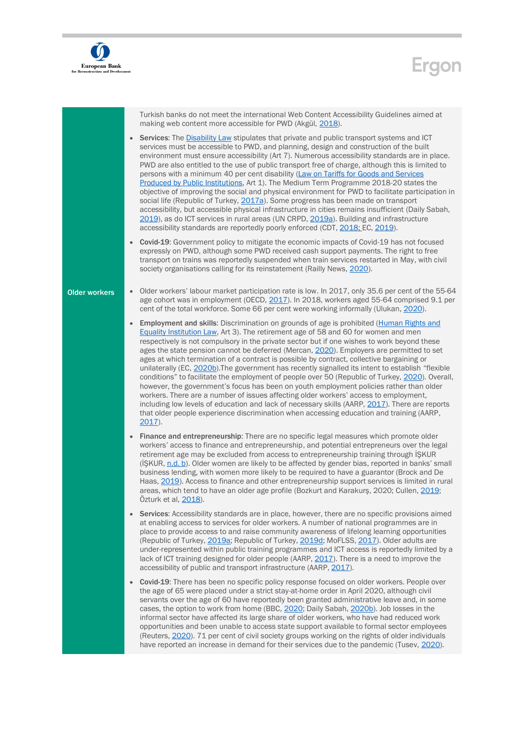

## Ergon